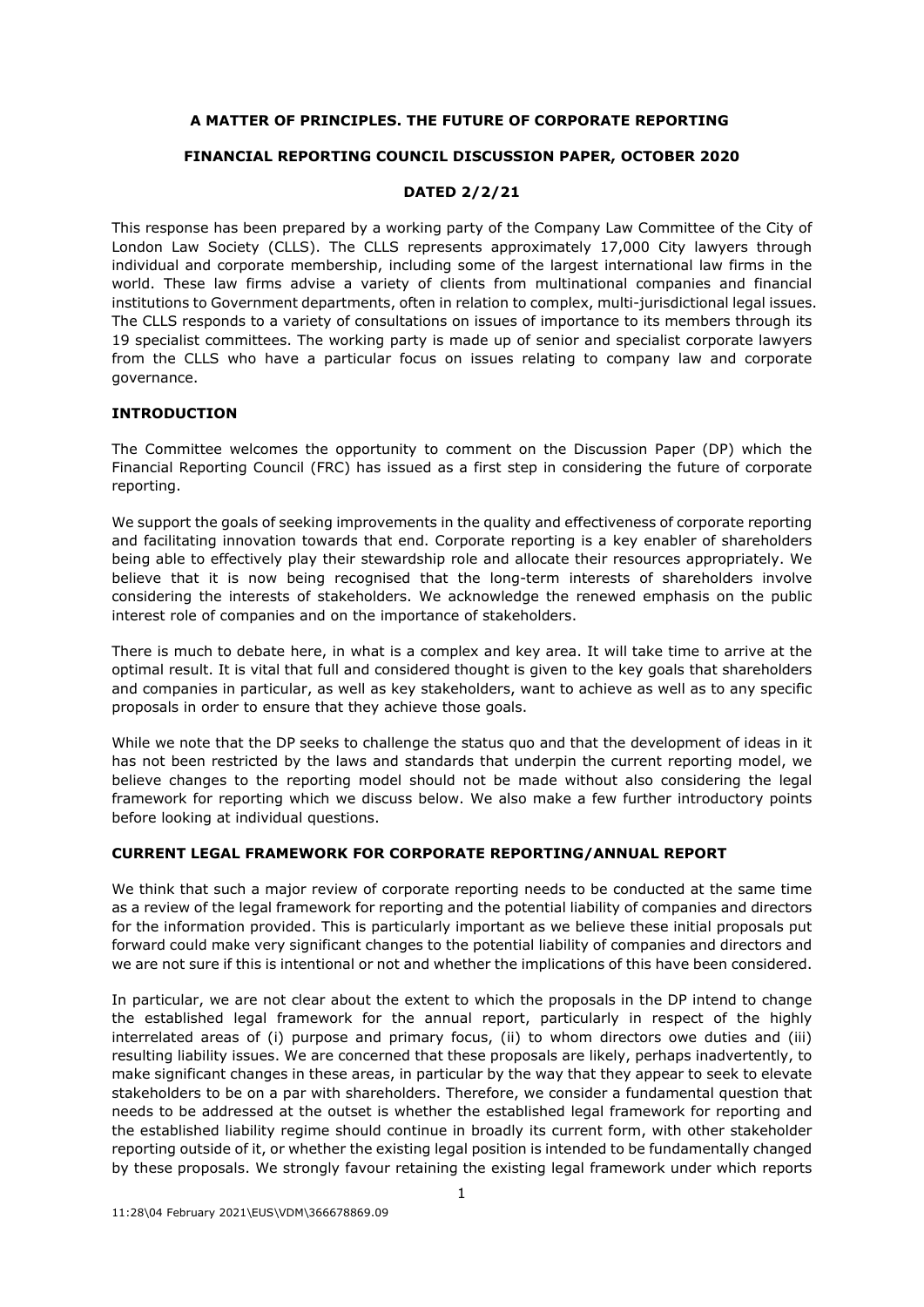# **A MATTER OF PRINCIPLES. THE FUTURE OF CORPORATE REPORTING**

# **FINANCIAL REPORTING COUNCIL DISCUSSION PAPER, OCTOBER 2020**

## **DATED 2/2/21**

This response has been prepared by a working party of the Company Law Committee of the City of London Law Society (CLLS). The CLLS represents approximately 17,000 City lawyers through individual and corporate membership, including some of the largest international law firms in the world. These law firms advise a variety of clients from multinational companies and financial institutions to Government departments, often in relation to complex, multi-jurisdictional legal issues. The CLLS responds to a variety of consultations on issues of importance to its members through its 19 specialist committees. The working party is made up of senior and specialist corporate lawyers from the CLLS who have a particular focus on issues relating to company law and corporate governance.

# **INTRODUCTION**

The Committee welcomes the opportunity to comment on the Discussion Paper (DP) which the Financial Reporting Council (FRC) has issued as a first step in considering the future of corporate reporting.

We support the goals of seeking improvements in the quality and effectiveness of corporate reporting and facilitating innovation towards that end. Corporate reporting is a key enabler of shareholders being able to effectively play their stewardship role and allocate their resources appropriately. We believe that it is now being recognised that the long-term interests of shareholders involve considering the interests of stakeholders. We acknowledge the renewed emphasis on the public interest role of companies and on the importance of stakeholders.

There is much to debate here, in what is a complex and key area. It will take time to arrive at the optimal result. It is vital that full and considered thought is given to the key goals that shareholders and companies in particular, as well as key stakeholders, want to achieve as well as to any specific proposals in order to ensure that they achieve those goals.

While we note that the DP seeks to challenge the status quo and that the development of ideas in it has not been restricted by the laws and standards that underpin the current reporting model, we believe changes to the reporting model should not be made without also considering the legal framework for reporting which we discuss below. We also make a few further introductory points before looking at individual questions.

## **CURRENT LEGAL FRAMEWORK FOR CORPORATE REPORTING/ANNUAL REPORT**

We think that such a major review of corporate reporting needs to be conducted at the same time as a review of the legal framework for reporting and the potential liability of companies and directors for the information provided. This is particularly important as we believe these initial proposals put forward could make very significant changes to the potential liability of companies and directors and we are not sure if this is intentional or not and whether the implications of this have been considered.

In particular, we are not clear about the extent to which the proposals in the DP intend to change the established legal framework for the annual report, particularly in respect of the highly interrelated areas of (i) purpose and primary focus, (ii) to whom directors owe duties and (iii) resulting liability issues. We are concerned that these proposals are likely, perhaps inadvertently, to make significant changes in these areas, in particular by the way that they appear to seek to elevate stakeholders to be on a par with shareholders. Therefore, we consider a fundamental question that needs to be addressed at the outset is whether the established legal framework for reporting and the established liability regime should continue in broadly its current form, with other stakeholder reporting outside of it, or whether the existing legal position is intended to be fundamentally changed by these proposals. We strongly favour retaining the existing legal framework under which reports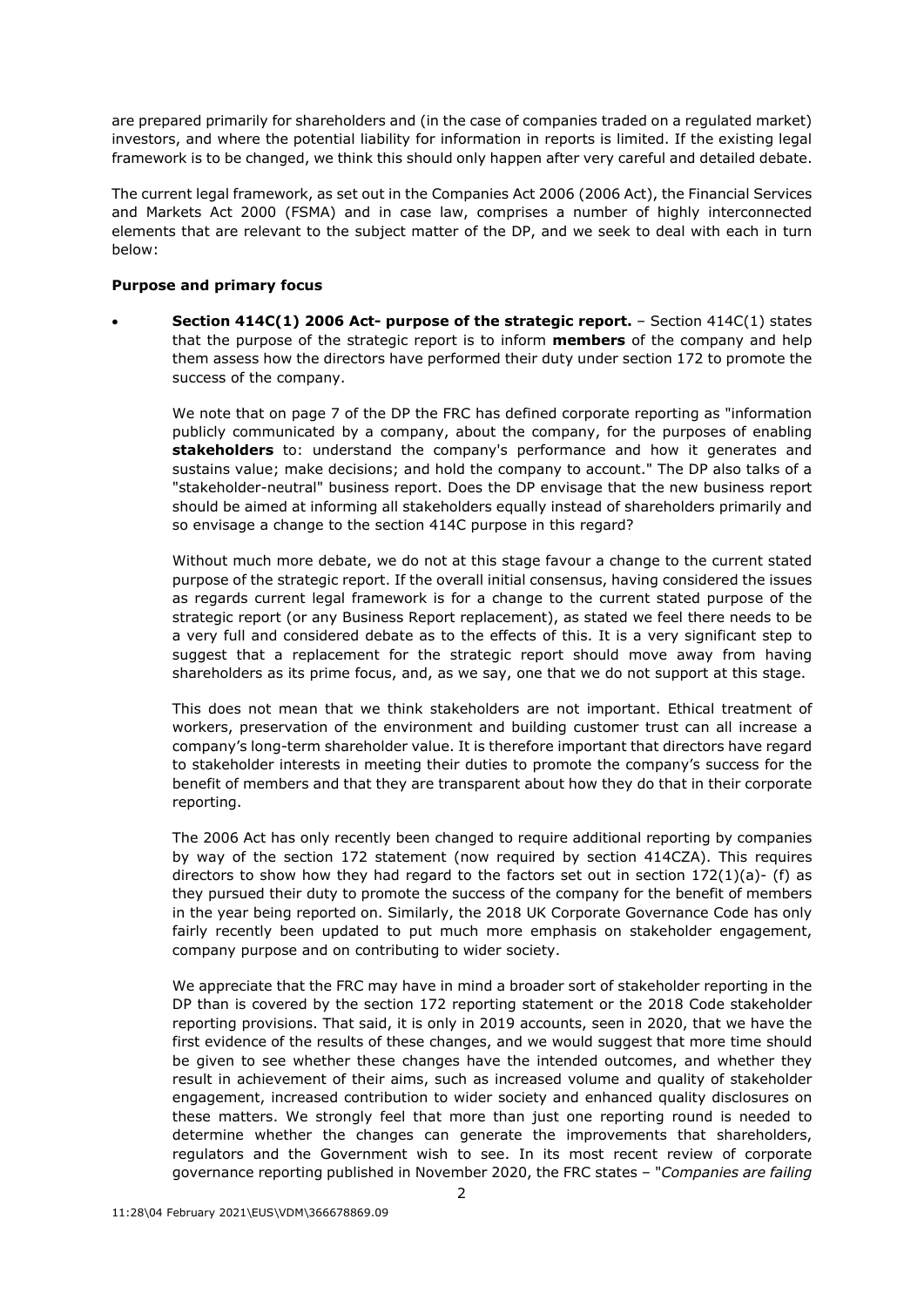are prepared primarily for shareholders and (in the case of companies traded on a regulated market) investors, and where the potential liability for information in reports is limited. If the existing legal framework is to be changed, we think this should only happen after very careful and detailed debate.

The current legal framework, as set out in the Companies Act 2006 (2006 Act), the Financial Services and Markets Act 2000 (FSMA) and in case law, comprises a number of highly interconnected elements that are relevant to the subject matter of the DP, and we seek to deal with each in turn below:

## **Purpose and primary focus**

 **Section 414C(1) 2006 Act- purpose of the strategic report.** – Section 414C(1) states that the purpose of the strategic report is to inform **members** of the company and help them assess how the directors have performed their duty under section 172 to promote the success of the company.

We note that on page 7 of the DP the FRC has defined corporate reporting as "information publicly communicated by a company, about the company, for the purposes of enabling **stakeholders** to: understand the company's performance and how it generates and sustains value; make decisions; and hold the company to account." The DP also talks of a "stakeholder-neutral" business report. Does the DP envisage that the new business report should be aimed at informing all stakeholders equally instead of shareholders primarily and so envisage a change to the section 414C purpose in this regard?

Without much more debate, we do not at this stage favour a change to the current stated purpose of the strategic report. If the overall initial consensus, having considered the issues as regards current legal framework is for a change to the current stated purpose of the strategic report (or any Business Report replacement), as stated we feel there needs to be a very full and considered debate as to the effects of this. It is a very significant step to suggest that a replacement for the strategic report should move away from having shareholders as its prime focus, and, as we say, one that we do not support at this stage.

This does not mean that we think stakeholders are not important. Ethical treatment of workers, preservation of the environment and building customer trust can all increase a company's long-term shareholder value. It is therefore important that directors have regard to stakeholder interests in meeting their duties to promote the company's success for the benefit of members and that they are transparent about how they do that in their corporate reporting.

The 2006 Act has only recently been changed to require additional reporting by companies by way of the section 172 statement (now required by section 414CZA). This requires directors to show how they had regard to the factors set out in section  $172(1)(a)$ - (f) as they pursued their duty to promote the success of the company for the benefit of members in the year being reported on. Similarly, the 2018 UK Corporate Governance Code has only fairly recently been updated to put much more emphasis on stakeholder engagement, company purpose and on contributing to wider society.

We appreciate that the FRC may have in mind a broader sort of stakeholder reporting in the DP than is covered by the section 172 reporting statement or the 2018 Code stakeholder reporting provisions. That said, it is only in 2019 accounts, seen in 2020, that we have the first evidence of the results of these changes, and we would suggest that more time should be given to see whether these changes have the intended outcomes, and whether they result in achievement of their aims, such as increased volume and quality of stakeholder engagement, increased contribution to wider society and enhanced quality disclosures on these matters. We strongly feel that more than just one reporting round is needed to determine whether the changes can generate the improvements that shareholders, regulators and the Government wish to see. In its most recent review of corporate governance reporting published in November 2020, the FRC states – "*Companies are failing*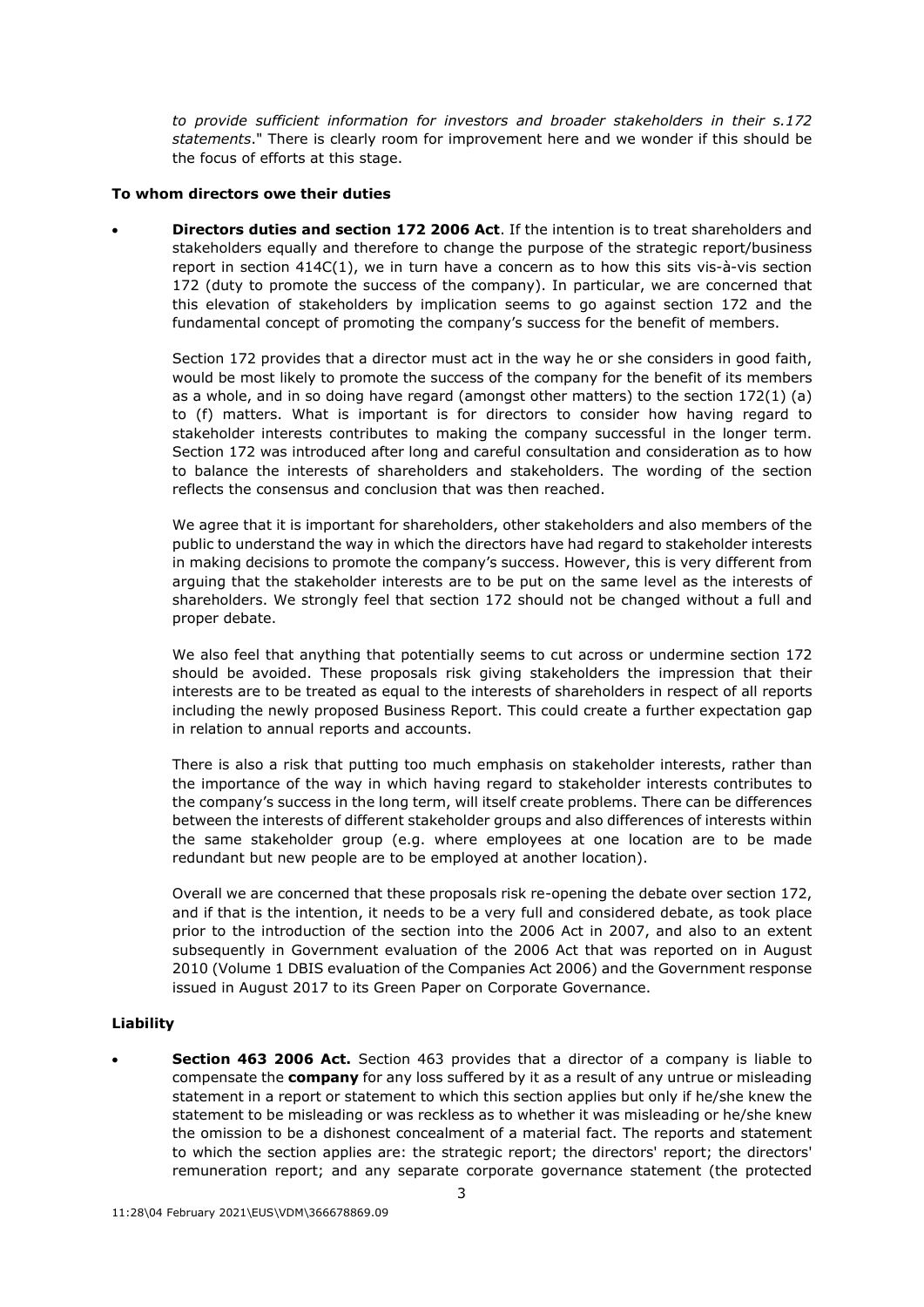*to provide sufficient information for investors and broader stakeholders in their s.172 statements*." There is clearly room for improvement here and we wonder if this should be the focus of efforts at this stage.

## **To whom directors owe their duties**

 **Directors duties and section 172 2006 Act**. If the intention is to treat shareholders and stakeholders equally and therefore to change the purpose of the strategic report/business report in section 414C(1), we in turn have a concern as to how this sits vis-à-vis section 172 (duty to promote the success of the company). In particular, we are concerned that this elevation of stakeholders by implication seems to go against section 172 and the fundamental concept of promoting the company's success for the benefit of members.

Section 172 provides that a director must act in the way he or she considers in good faith, would be most likely to promote the success of the company for the benefit of its members as a whole, and in so doing have regard (amongst other matters) to the section  $172(1)$  (a) to (f) matters. What is important is for directors to consider how having regard to stakeholder interests contributes to making the company successful in the longer term. Section 172 was introduced after long and careful consultation and consideration as to how to balance the interests of shareholders and stakeholders. The wording of the section reflects the consensus and conclusion that was then reached.

We agree that it is important for shareholders, other stakeholders and also members of the public to understand the way in which the directors have had regard to stakeholder interests in making decisions to promote the company's success. However, this is very different from arguing that the stakeholder interests are to be put on the same level as the interests of shareholders. We strongly feel that section 172 should not be changed without a full and proper debate.

We also feel that anything that potentially seems to cut across or undermine section 172 should be avoided. These proposals risk giving stakeholders the impression that their interests are to be treated as equal to the interests of shareholders in respect of all reports including the newly proposed Business Report. This could create a further expectation gap in relation to annual reports and accounts.

There is also a risk that putting too much emphasis on stakeholder interests, rather than the importance of the way in which having regard to stakeholder interests contributes to the company's success in the long term, will itself create problems. There can be differences between the interests of different stakeholder groups and also differences of interests within the same stakeholder group (e.g. where employees at one location are to be made redundant but new people are to be employed at another location).

Overall we are concerned that these proposals risk re-opening the debate over section 172, and if that is the intention, it needs to be a very full and considered debate, as took place prior to the introduction of the section into the 2006 Act in 2007, and also to an extent subsequently in Government evaluation of the 2006 Act that was reported on in August 2010 (Volume 1 DBIS evaluation of the Companies Act 2006) and the Government response issued in August 2017 to its Green Paper on Corporate Governance.

## **Liability**

 **Section 463 2006 Act.** Section 463 provides that a director of a company is liable to compensate the **company** for any loss suffered by it as a result of any untrue or misleading statement in a report or statement to which this section applies but only if he/she knew the statement to be misleading or was reckless as to whether it was misleading or he/she knew the omission to be a dishonest concealment of a material fact. The reports and statement to which the section applies are: the strategic report; the directors' report; the directors' remuneration report; and any separate corporate governance statement (the protected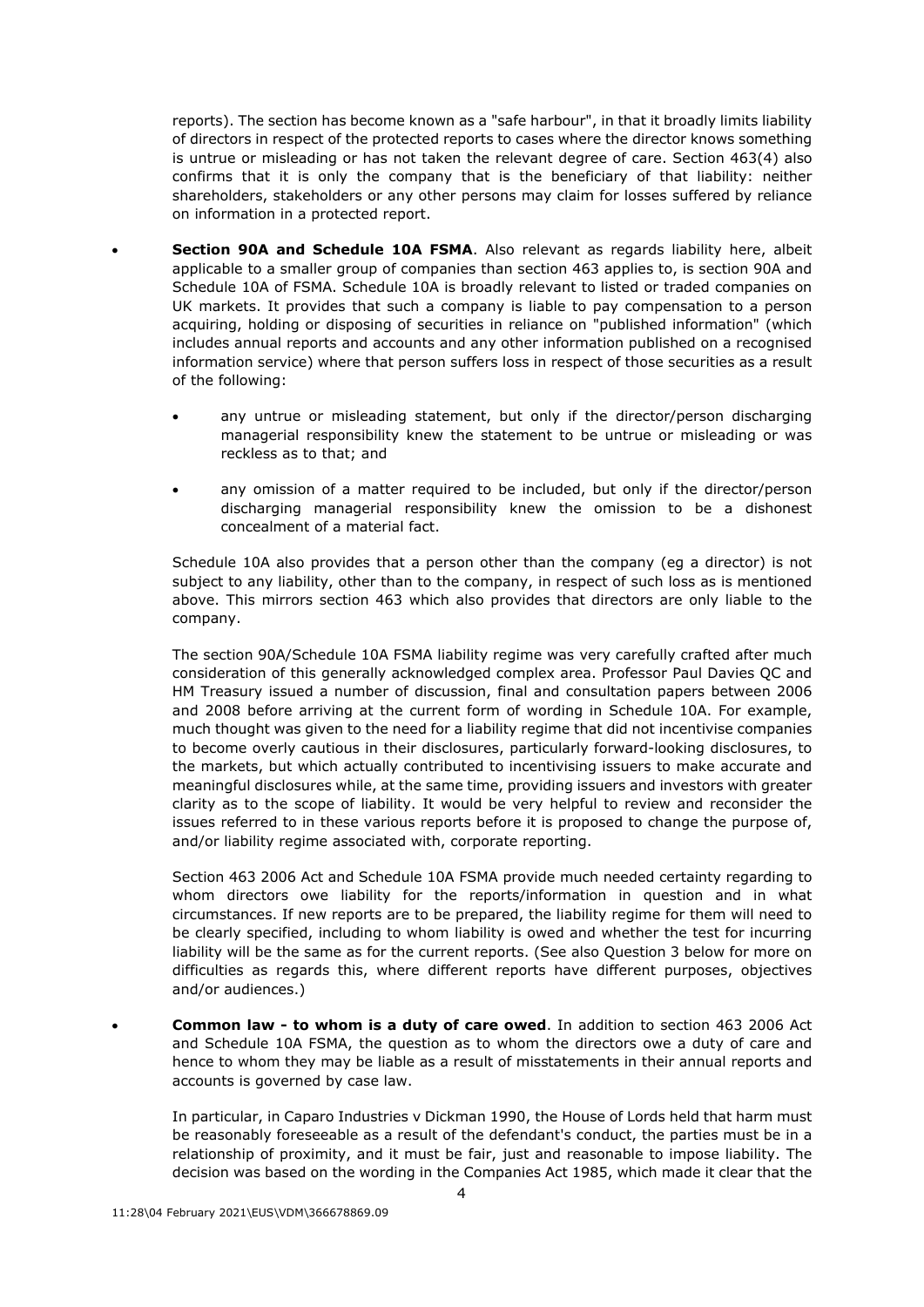reports). The section has become known as a "safe harbour", in that it broadly limits liability of directors in respect of the protected reports to cases where the director knows something is untrue or misleading or has not taken the relevant degree of care. Section 463(4) also confirms that it is only the company that is the beneficiary of that liability: neither shareholders, stakeholders or any other persons may claim for losses suffered by reliance on information in a protected report.

- **Section 90A and Schedule 10A FSMA**. Also relevant as regards liability here, albeit applicable to a smaller group of companies than section 463 applies to, is section 90A and Schedule 10A of FSMA. Schedule 10A is broadly relevant to listed or traded companies on UK markets. It provides that such a company is liable to pay compensation to a person acquiring, holding or disposing of securities in reliance on "published information" (which includes annual reports and accounts and any other information published on a recognised information service) where that person suffers loss in respect of those securities as a result of the following:
	- any untrue or misleading statement, but only if the director/person discharging managerial responsibility knew the statement to be untrue or misleading or was reckless as to that; and
	- any omission of a matter required to be included, but only if the director/person discharging managerial responsibility knew the omission to be a dishonest concealment of a material fact.

Schedule 10A also provides that a person other than the company (eg a director) is not subject to any liability, other than to the company, in respect of such loss as is mentioned above. This mirrors section 463 which also provides that directors are only liable to the company.

The section 90A/Schedule 10A FSMA liability regime was very carefully crafted after much consideration of this generally acknowledged complex area. Professor Paul Davies QC and HM Treasury issued a number of discussion, final and consultation papers between 2006 and 2008 before arriving at the current form of wording in Schedule 10A. For example, much thought was given to the need for a liability regime that did not incentivise companies to become overly cautious in their disclosures, particularly forward-looking disclosures, to the markets, but which actually contributed to incentivising issuers to make accurate and meaningful disclosures while, at the same time, providing issuers and investors with greater clarity as to the scope of liability. It would be very helpful to review and reconsider the issues referred to in these various reports before it is proposed to change the purpose of, and/or liability regime associated with, corporate reporting.

Section 463 2006 Act and Schedule 10A FSMA provide much needed certainty regarding to whom directors owe liability for the reports/information in question and in what circumstances. If new reports are to be prepared, the liability regime for them will need to be clearly specified, including to whom liability is owed and whether the test for incurring liability will be the same as for the current reports. (See also Question 3 below for more on difficulties as regards this, where different reports have different purposes, objectives and/or audiences.)

 **Common law - to whom is a duty of care owed**. In addition to section 463 2006 Act and Schedule 10A FSMA, the question as to whom the directors owe a duty of care and hence to whom they may be liable as a result of misstatements in their annual reports and accounts is governed by case law.

In particular, in Caparo Industries v Dickman 1990, the House of Lords held that harm must be reasonably foreseeable as a result of the defendant's conduct, the parties must be in a relationship of proximity, and it must be fair, just and reasonable to impose liability. The decision was based on the wording in the Companies Act 1985, which made it clear that the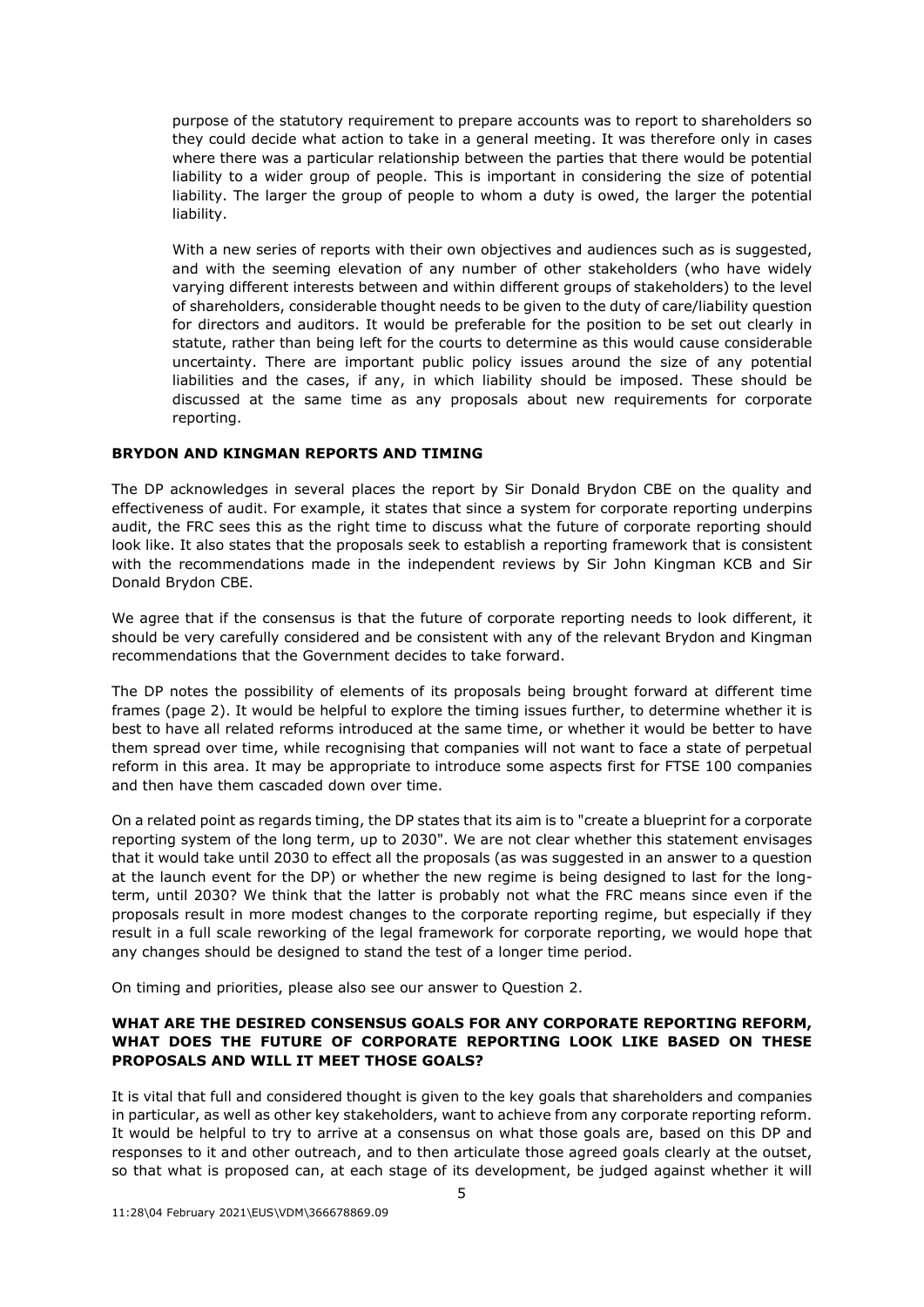purpose of the statutory requirement to prepare accounts was to report to shareholders so they could decide what action to take in a general meeting. It was therefore only in cases where there was a particular relationship between the parties that there would be potential liability to a wider group of people. This is important in considering the size of potential liability. The larger the group of people to whom a duty is owed, the larger the potential liability.

With a new series of reports with their own objectives and audiences such as is suggested, and with the seeming elevation of any number of other stakeholders (who have widely varying different interests between and within different groups of stakeholders) to the level of shareholders, considerable thought needs to be given to the duty of care/liability question for directors and auditors. It would be preferable for the position to be set out clearly in statute, rather than being left for the courts to determine as this would cause considerable uncertainty. There are important public policy issues around the size of any potential liabilities and the cases, if any, in which liability should be imposed. These should be discussed at the same time as any proposals about new requirements for corporate reporting.

### **BRYDON AND KINGMAN REPORTS AND TIMING**

The DP acknowledges in several places the report by Sir Donald Brydon CBE on the quality and effectiveness of audit. For example, it states that since a system for corporate reporting underpins audit, the FRC sees this as the right time to discuss what the future of corporate reporting should look like. It also states that the proposals seek to establish a reporting framework that is consistent with the recommendations made in the independent reviews by Sir John Kingman KCB and Sir Donald Brydon CBE.

We agree that if the consensus is that the future of corporate reporting needs to look different, it should be very carefully considered and be consistent with any of the relevant Brydon and Kingman recommendations that the Government decides to take forward.

The DP notes the possibility of elements of its proposals being brought forward at different time frames (page 2). It would be helpful to explore the timing issues further, to determine whether it is best to have all related reforms introduced at the same time, or whether it would be better to have them spread over time, while recognising that companies will not want to face a state of perpetual reform in this area. It may be appropriate to introduce some aspects first for FTSE 100 companies and then have them cascaded down over time.

On a related point as regards timing, the DP states that its aim is to "create a blueprint for a corporate reporting system of the long term, up to 2030". We are not clear whether this statement envisages that it would take until 2030 to effect all the proposals (as was suggested in an answer to a question at the launch event for the DP) or whether the new regime is being designed to last for the longterm, until 2030? We think that the latter is probably not what the FRC means since even if the proposals result in more modest changes to the corporate reporting regime, but especially if they result in a full scale reworking of the legal framework for corporate reporting, we would hope that any changes should be designed to stand the test of a longer time period.

On timing and priorities, please also see our answer to Question 2.

## **WHAT ARE THE DESIRED CONSENSUS GOALS FOR ANY CORPORATE REPORTING REFORM, WHAT DOES THE FUTURE OF CORPORATE REPORTING LOOK LIKE BASED ON THESE PROPOSALS AND WILL IT MEET THOSE GOALS?**

It is vital that full and considered thought is given to the key goals that shareholders and companies in particular, as well as other key stakeholders, want to achieve from any corporate reporting reform. It would be helpful to try to arrive at a consensus on what those goals are, based on this DP and responses to it and other outreach, and to then articulate those agreed goals clearly at the outset, so that what is proposed can, at each stage of its development, be judged against whether it will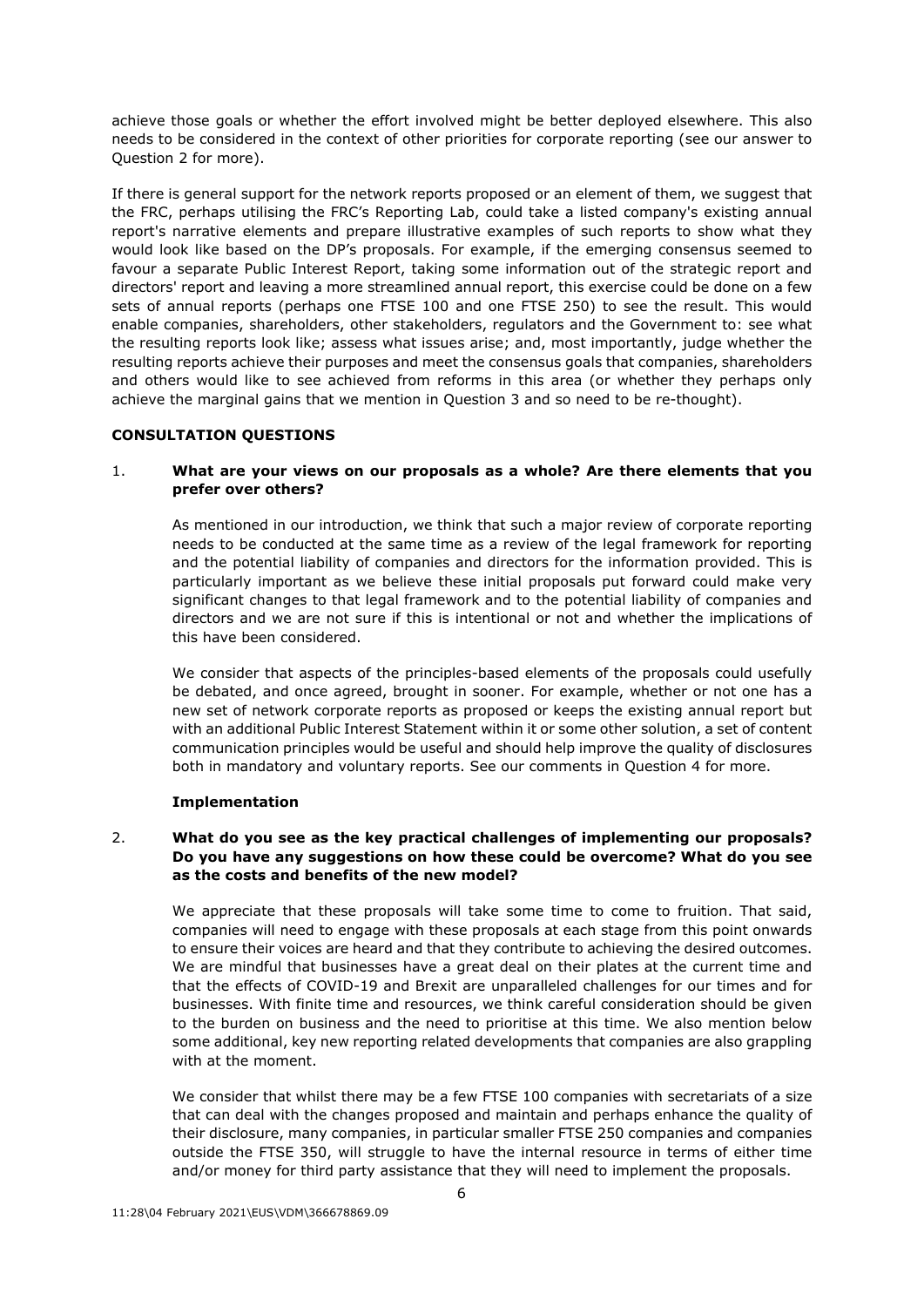achieve those goals or whether the effort involved might be better deployed elsewhere. This also needs to be considered in the context of other priorities for corporate reporting (see our answer to Question 2 for more).

If there is general support for the network reports proposed or an element of them, we suggest that the FRC, perhaps utilising the FRC's Reporting Lab, could take a listed company's existing annual report's narrative elements and prepare illustrative examples of such reports to show what they would look like based on the DP's proposals. For example, if the emerging consensus seemed to favour a separate Public Interest Report, taking some information out of the strategic report and directors' report and leaving a more streamlined annual report, this exercise could be done on a few sets of annual reports (perhaps one FTSE 100 and one FTSE 250) to see the result. This would enable companies, shareholders, other stakeholders, regulators and the Government to: see what the resulting reports look like; assess what issues arise; and, most importantly, judge whether the resulting reports achieve their purposes and meet the consensus goals that companies, shareholders and others would like to see achieved from reforms in this area (or whether they perhaps only achieve the marginal gains that we mention in Question 3 and so need to be re-thought).

# **CONSULTATION QUESTIONS**

# 1. **What are your views on our proposals as a whole? Are there elements that you prefer over others?**

As mentioned in our introduction, we think that such a major review of corporate reporting needs to be conducted at the same time as a review of the legal framework for reporting and the potential liability of companies and directors for the information provided. This is particularly important as we believe these initial proposals put forward could make very significant changes to that legal framework and to the potential liability of companies and directors and we are not sure if this is intentional or not and whether the implications of this have been considered.

We consider that aspects of the principles-based elements of the proposals could usefully be debated, and once agreed, brought in sooner. For example, whether or not one has a new set of network corporate reports as proposed or keeps the existing annual report but with an additional Public Interest Statement within it or some other solution, a set of content communication principles would be useful and should help improve the quality of disclosures both in mandatory and voluntary reports. See our comments in Question 4 for more.

## **Implementation**

# 2. **What do you see as the key practical challenges of implementing our proposals? Do you have any suggestions on how these could be overcome? What do you see as the costs and benefits of the new model?**

We appreciate that these proposals will take some time to come to fruition. That said, companies will need to engage with these proposals at each stage from this point onwards to ensure their voices are heard and that they contribute to achieving the desired outcomes. We are mindful that businesses have a great deal on their plates at the current time and that the effects of COVID-19 and Brexit are unparalleled challenges for our times and for businesses. With finite time and resources, we think careful consideration should be given to the burden on business and the need to prioritise at this time. We also mention below some additional, key new reporting related developments that companies are also grappling with at the moment.

We consider that whilst there may be a few FTSE 100 companies with secretariats of a size that can deal with the changes proposed and maintain and perhaps enhance the quality of their disclosure, many companies, in particular smaller FTSE 250 companies and companies outside the FTSE 350, will struggle to have the internal resource in terms of either time and/or money for third party assistance that they will need to implement the proposals.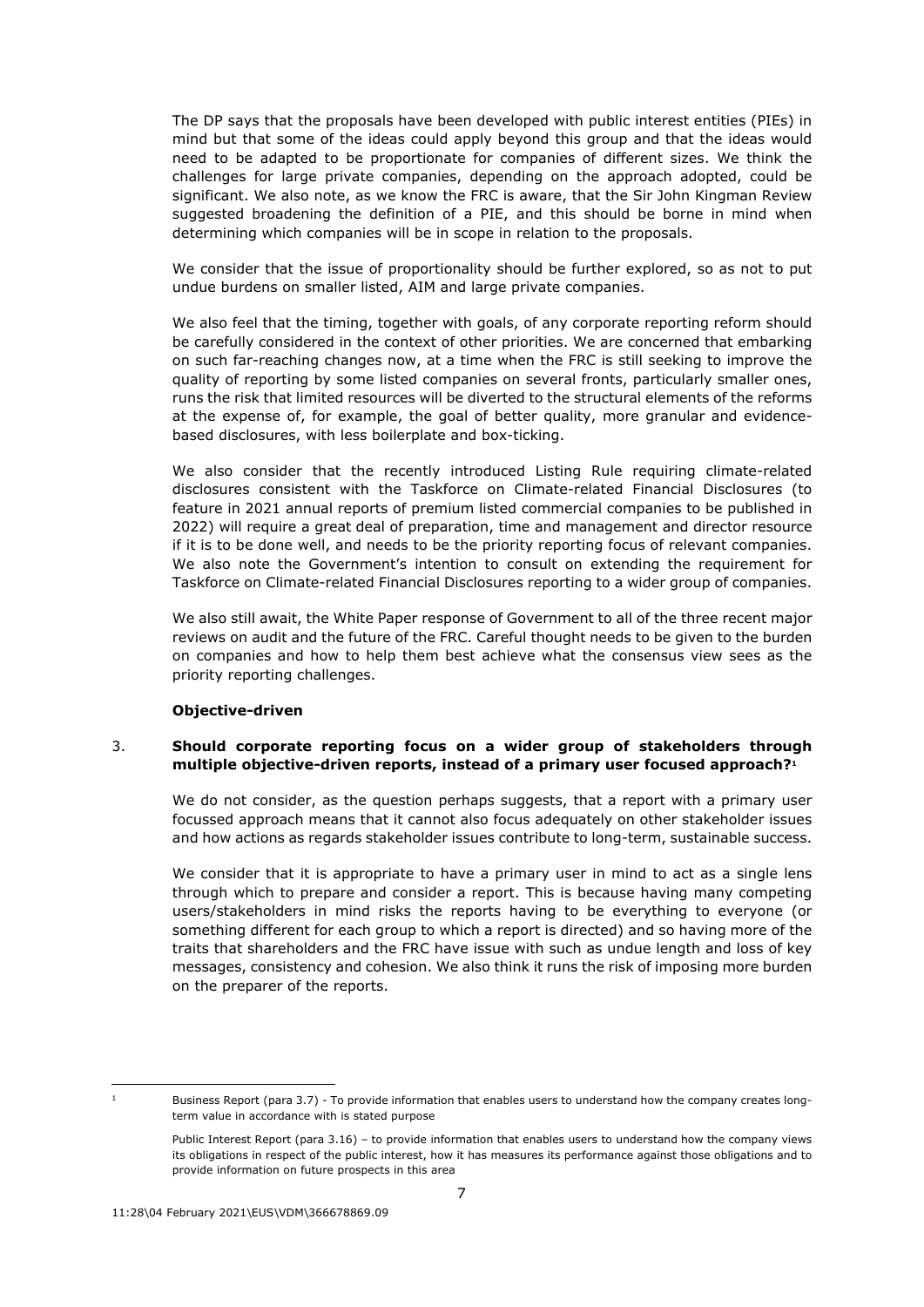The DP says that the proposals have been developed with public interest entities (PIEs) in mind but that some of the ideas could apply beyond this group and that the ideas would need to be adapted to be proportionate for companies of different sizes. We think the challenges for large private companies, depending on the approach adopted, could be significant. We also note, as we know the FRC is aware, that the Sir John Kingman Review suggested broadening the definition of a PIE, and this should be borne in mind when determining which companies will be in scope in relation to the proposals.

We consider that the issue of proportionality should be further explored, so as not to put undue burdens on smaller listed, AIM and large private companies.

We also feel that the timing, together with goals, of any corporate reporting reform should be carefully considered in the context of other priorities. We are concerned that embarking on such far-reaching changes now, at a time when the FRC is still seeking to improve the quality of reporting by some listed companies on several fronts, particularly smaller ones, runs the risk that limited resources will be diverted to the structural elements of the reforms at the expense of, for example, the goal of better quality, more granular and evidencebased disclosures, with less boilerplate and box-ticking.

We also consider that the recently introduced Listing Rule requiring climate-related disclosures consistent with the Taskforce on Climate-related Financial Disclosures (to feature in 2021 annual reports of premium listed commercial companies to be published in 2022) will require a great deal of preparation, time and management and director resource if it is to be done well, and needs to be the priority reporting focus of relevant companies. We also note the Government's intention to consult on extending the requirement for Taskforce on Climate-related Financial Disclosures reporting to a wider group of companies.

We also still await, the White Paper response of Government to all of the three recent major reviews on audit and the future of the FRC. Careful thought needs to be given to the burden on companies and how to help them best achieve what the consensus view sees as the priority reporting challenges.

### **Objective-driven**

# 3. **Should corporate reporting focus on a wider group of stakeholders through multiple objective-driven reports, instead of a primary user focused approach?<sup>1</sup>**

We do not consider, as the question perhaps suggests, that a report with a primary user focussed approach means that it cannot also focus adequately on other stakeholder issues and how actions as regards stakeholder issues contribute to long-term, sustainable success.

We consider that it is appropriate to have a primary user in mind to act as a single lens through which to prepare and consider a report. This is because having many competing users/stakeholders in mind risks the reports having to be everything to everyone (or something different for each group to which a report is directed) and so having more of the traits that shareholders and the FRC have issue with such as undue length and loss of key messages, consistency and cohesion. We also think it runs the risk of imposing more burden on the preparer of the reports.

Business Report (para 3.7) - To provide information that enables users to understand how the company creates longterm value in accordance with is stated purpose

Public Interest Report (para 3.16) – to provide information that enables users to understand how the company views its obligations in respect of the public interest, how it has measures its performance against those obligations and to provide information on future prospects in this area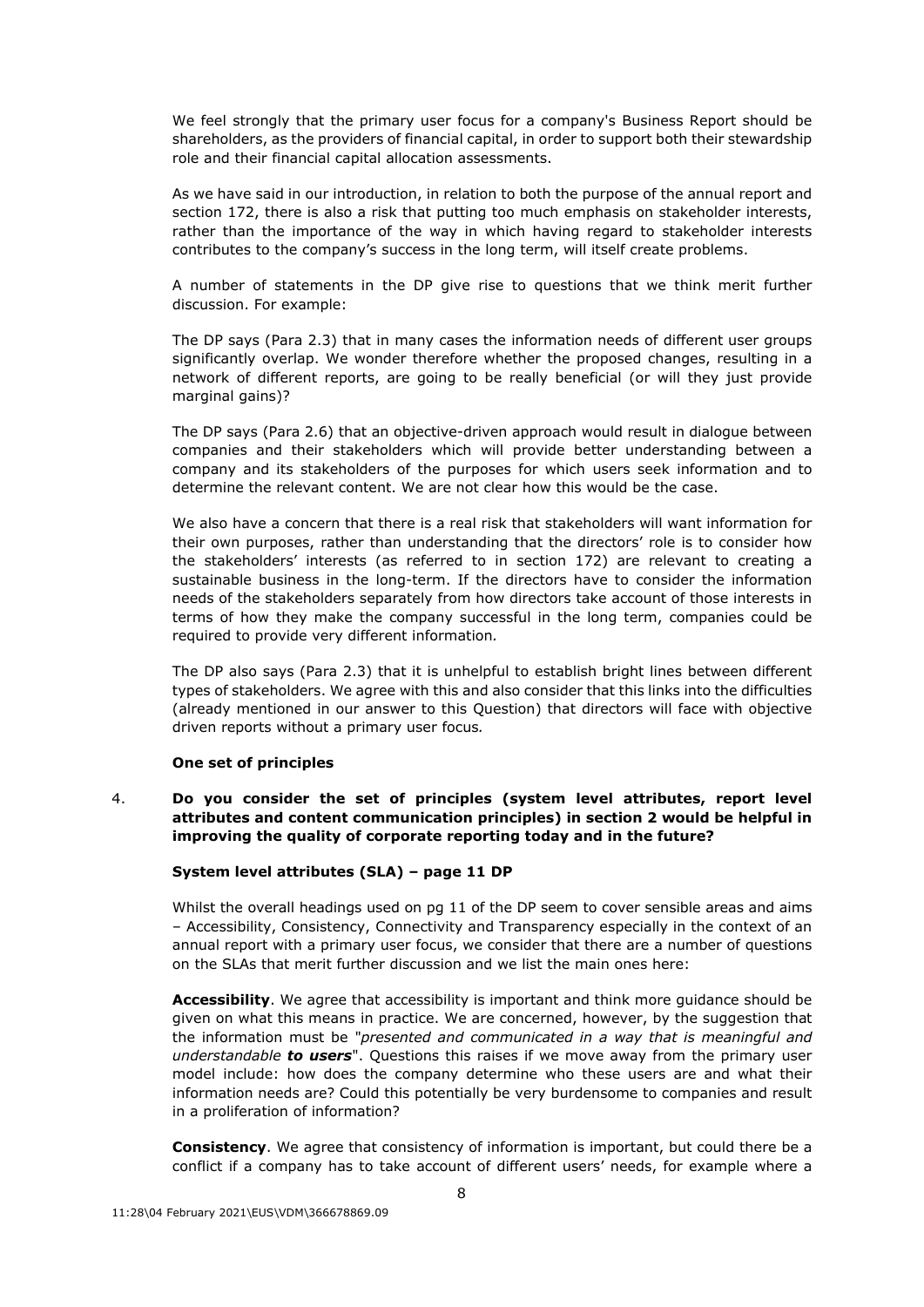We feel strongly that the primary user focus for a company's Business Report should be shareholders, as the providers of financial capital, in order to support both their stewardship role and their financial capital allocation assessments.

As we have said in our introduction, in relation to both the purpose of the annual report and section 172, there is also a risk that putting too much emphasis on stakeholder interests, rather than the importance of the way in which having regard to stakeholder interests contributes to the company's success in the long term, will itself create problems.

A number of statements in the DP give rise to questions that we think merit further discussion. For example:

The DP says (Para 2.3) that in many cases the information needs of different user groups significantly overlap. We wonder therefore whether the proposed changes, resulting in a network of different reports, are going to be really beneficial (or will they just provide marginal gains)?

The DP says (Para 2.6) that an objective-driven approach would result in dialogue between companies and their stakeholders which will provide better understanding between a company and its stakeholders of the purposes for which users seek information and to determine the relevant content. We are not clear how this would be the case.

We also have a concern that there is a real risk that stakeholders will want information for their own purposes, rather than understanding that the directors' role is to consider how the stakeholders' interests (as referred to in section 172) are relevant to creating a sustainable business in the long-term. If the directors have to consider the information needs of the stakeholders separately from how directors take account of those interests in terms of how they make the company successful in the long term, companies could be required to provide very different information*.*

The DP also says (Para 2.3) that it is unhelpful to establish bright lines between different types of stakeholders. We agree with this and also consider that this links into the difficulties (already mentioned in our answer to this Question) that directors will face with objective driven reports without a primary user focus*.* 

## **One set of principles**

4. **Do you consider the set of principles (system level attributes, report level attributes and content communication principles) in section 2 would be helpful in improving the quality of corporate reporting today and in the future?**

## **System level attributes (SLA) – page 11 DP**

Whilst the overall headings used on pg 11 of the DP seem to cover sensible areas and aims – Accessibility, Consistency, Connectivity and Transparency especially in the context of an annual report with a primary user focus, we consider that there are a number of questions on the SLAs that merit further discussion and we list the main ones here:

**Accessibility**. We agree that accessibility is important and think more guidance should be given on what this means in practice. We are concerned, however, by the suggestion that the information must be "*presented and communicated in a way that is meaningful and understandable to users*". Questions this raises if we move away from the primary user model include: how does the company determine who these users are and what their information needs are? Could this potentially be very burdensome to companies and result in a proliferation of information?

**Consistency**. We agree that consistency of information is important, but could there be a conflict if a company has to take account of different users' needs, for example where a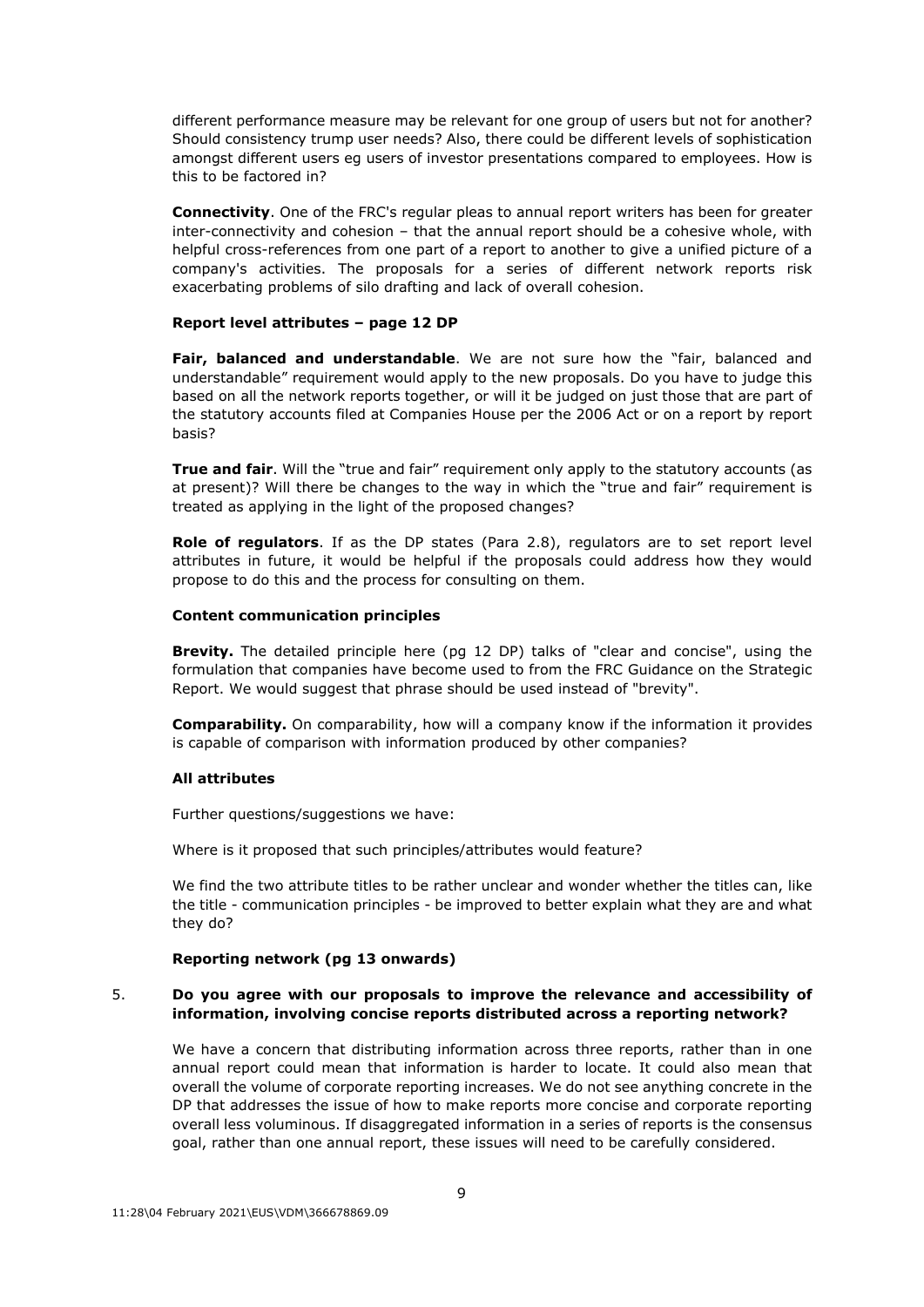different performance measure may be relevant for one group of users but not for another? Should consistency trump user needs? Also, there could be different levels of sophistication amongst different users eg users of investor presentations compared to employees. How is this to be factored in?

**Connectivity**. One of the FRC's regular pleas to annual report writers has been for greater inter-connectivity and cohesion – that the annual report should be a cohesive whole, with helpful cross-references from one part of a report to another to give a unified picture of a company's activities. The proposals for a series of different network reports risk exacerbating problems of silo drafting and lack of overall cohesion.

#### **Report level attributes – page 12 DP**

**Fair, balanced and understandable**. We are not sure how the "fair, balanced and understandable" requirement would apply to the new proposals. Do you have to judge this based on all the network reports together, or will it be judged on just those that are part of the statutory accounts filed at Companies House per the 2006 Act or on a report by report basis?

**True and fair**. Will the "true and fair" requirement only apply to the statutory accounts (as at present)? Will there be changes to the way in which the "true and fair" requirement is treated as applying in the light of the proposed changes?

**Role of regulators**. If as the DP states (Para 2.8), regulators are to set report level attributes in future, it would be helpful if the proposals could address how they would propose to do this and the process for consulting on them.

#### **Content communication principles**

**Brevity.** The detailed principle here (pg 12 DP) talks of "clear and concise", using the formulation that companies have become used to from the FRC Guidance on the Strategic Report. We would suggest that phrase should be used instead of "brevity".

**Comparability.** On comparability, how will a company know if the information it provides is capable of comparison with information produced by other companies?

#### **All attributes**

Further questions/suggestions we have:

Where is it proposed that such principles/attributes would feature?

We find the two attribute titles to be rather unclear and wonder whether the titles can, like the title - communication principles - be improved to better explain what they are and what they do?

### **Reporting network (pg 13 onwards)**

### 5. **Do you agree with our proposals to improve the relevance and accessibility of information, involving concise reports distributed across a reporting network?**

We have a concern that distributing information across three reports, rather than in one annual report could mean that information is harder to locate. It could also mean that overall the volume of corporate reporting increases. We do not see anything concrete in the DP that addresses the issue of how to make reports more concise and corporate reporting overall less voluminous. If disaggregated information in a series of reports is the consensus goal, rather than one annual report, these issues will need to be carefully considered.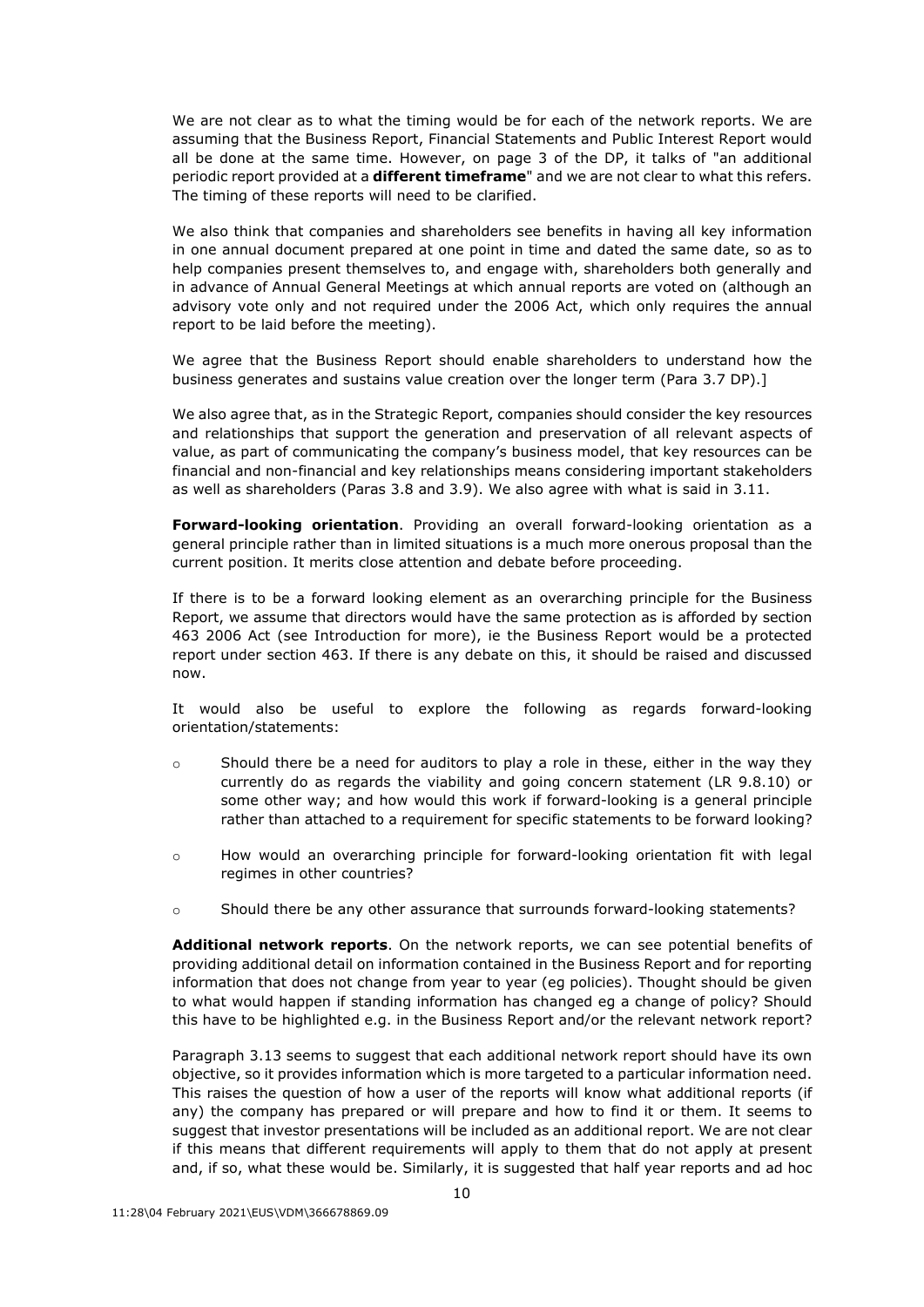We are not clear as to what the timing would be for each of the network reports. We are assuming that the Business Report, Financial Statements and Public Interest Report would all be done at the same time. However, on page 3 of the DP, it talks of "an additional periodic report provided at a **different timeframe**" and we are not clear to what this refers. The timing of these reports will need to be clarified.

We also think that companies and shareholders see benefits in having all key information in one annual document prepared at one point in time and dated the same date, so as to help companies present themselves to, and engage with, shareholders both generally and in advance of Annual General Meetings at which annual reports are voted on (although an advisory vote only and not required under the 2006 Act, which only requires the annual report to be laid before the meeting).

We agree that the Business Report should enable shareholders to understand how the business generates and sustains value creation over the longer term (Para 3.7 DP).]

We also agree that, as in the Strategic Report, companies should consider the key resources and relationships that support the generation and preservation of all relevant aspects of value, as part of communicating the company's business model, that key resources can be financial and non-financial and key relationships means considering important stakeholders as well as shareholders (Paras 3.8 and 3.9). We also agree with what is said in 3.11.

**Forward-looking orientation**. Providing an overall forward-looking orientation as a general principle rather than in limited situations is a much more onerous proposal than the current position. It merits close attention and debate before proceeding.

If there is to be a forward looking element as an overarching principle for the Business Report, we assume that directors would have the same protection as is afforded by section 463 2006 Act (see Introduction for more), ie the Business Report would be a protected report under section 463. If there is any debate on this, it should be raised and discussed now.

It would also be useful to explore the following as regards forward-looking orientation/statements:

- $\circ$  Should there be a need for auditors to play a role in these, either in the way they currently do as regards the viability and going concern statement (LR 9.8.10) or some other way; and how would this work if forward-looking is a general principle rather than attached to a requirement for specific statements to be forward looking?
- o How would an overarching principle for forward-looking orientation fit with legal regimes in other countries?
- o Should there be any other assurance that surrounds forward-looking statements?

**Additional network reports**. On the network reports, we can see potential benefits of providing additional detail on information contained in the Business Report and for reporting information that does not change from year to year (eg policies). Thought should be given to what would happen if standing information has changed eg a change of policy? Should this have to be highlighted e.g. in the Business Report and/or the relevant network report?

Paragraph 3.13 seems to suggest that each additional network report should have its own objective, so it provides information which is more targeted to a particular information need. This raises the question of how a user of the reports will know what additional reports (if any) the company has prepared or will prepare and how to find it or them. It seems to suggest that investor presentations will be included as an additional report. We are not clear if this means that different requirements will apply to them that do not apply at present and, if so, what these would be. Similarly, it is suggested that half year reports and ad hoc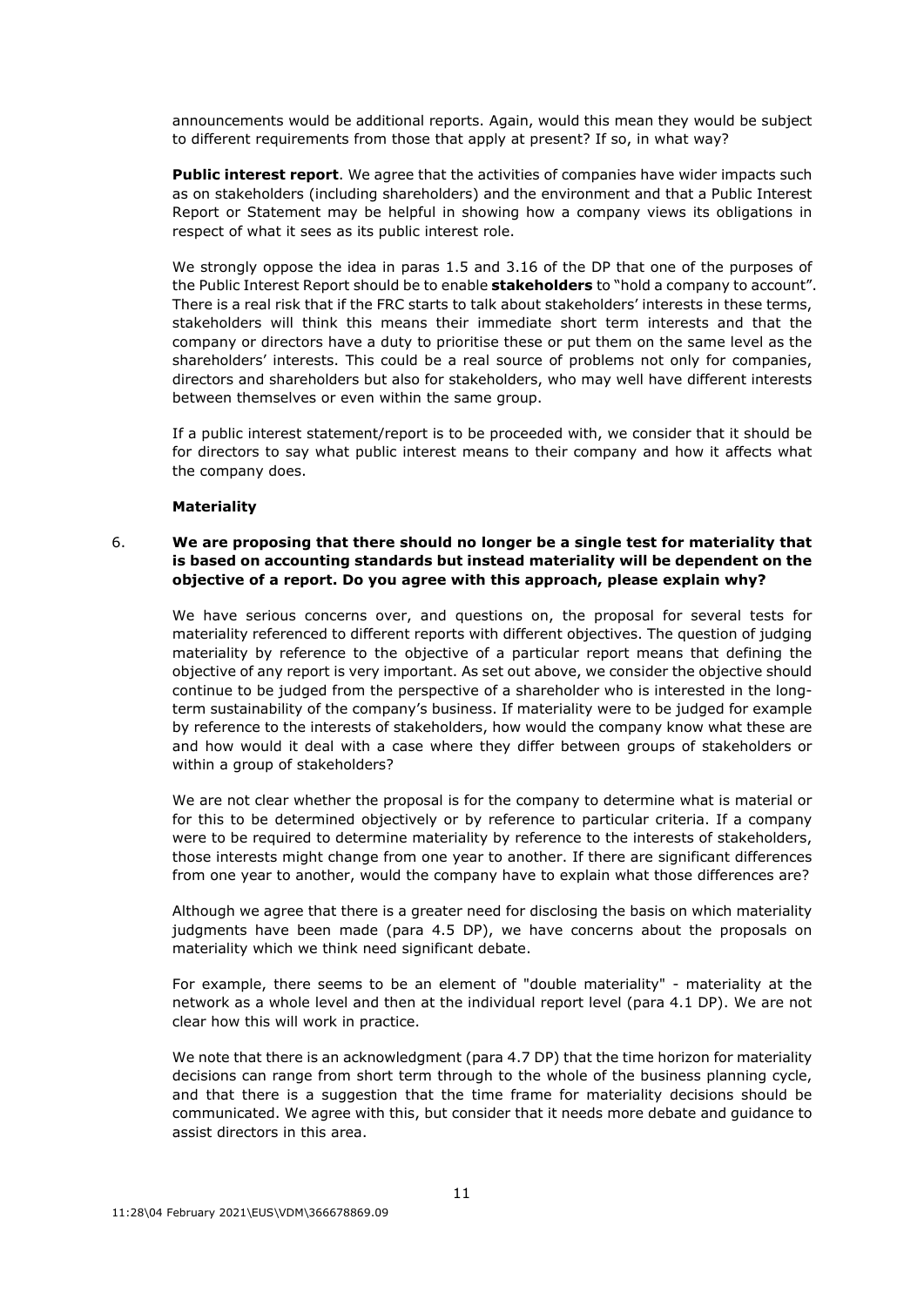announcements would be additional reports. Again, would this mean they would be subject to different requirements from those that apply at present? If so, in what way?

**Public interest report**. We agree that the activities of companies have wider impacts such as on stakeholders (including shareholders) and the environment and that a Public Interest Report or Statement may be helpful in showing how a company views its obligations in respect of what it sees as its public interest role.

We strongly oppose the idea in paras 1.5 and 3.16 of the DP that one of the purposes of the Public Interest Report should be to enable **stakeholders** to "hold a company to account". There is a real risk that if the FRC starts to talk about stakeholders' interests in these terms, stakeholders will think this means their immediate short term interests and that the company or directors have a duty to prioritise these or put them on the same level as the shareholders' interests. This could be a real source of problems not only for companies, directors and shareholders but also for stakeholders, who may well have different interests between themselves or even within the same group.

If a public interest statement/report is to be proceeded with, we consider that it should be for directors to say what public interest means to their company and how it affects what the company does.

### **Materiality**

# 6. **We are proposing that there should no longer be a single test for materiality that is based on accounting standards but instead materiality will be dependent on the objective of a report. Do you agree with this approach, please explain why?**

We have serious concerns over, and questions on, the proposal for several tests for materiality referenced to different reports with different objectives. The question of judging materiality by reference to the objective of a particular report means that defining the objective of any report is very important. As set out above, we consider the objective should continue to be judged from the perspective of a shareholder who is interested in the longterm sustainability of the company's business. If materiality were to be judged for example by reference to the interests of stakeholders, how would the company know what these are and how would it deal with a case where they differ between groups of stakeholders or within a group of stakeholders?

We are not clear whether the proposal is for the company to determine what is material or for this to be determined objectively or by reference to particular criteria. If a company were to be required to determine materiality by reference to the interests of stakeholders, those interests might change from one year to another. If there are significant differences from one year to another, would the company have to explain what those differences are?

Although we agree that there is a greater need for disclosing the basis on which materiality judgments have been made (para 4.5 DP), we have concerns about the proposals on materiality which we think need significant debate.

For example, there seems to be an element of "double materiality" - materiality at the network as a whole level and then at the individual report level (para 4.1 DP). We are not clear how this will work in practice.

We note that there is an acknowledgment (para 4.7 DP) that the time horizon for materiality decisions can range from short term through to the whole of the business planning cycle, and that there is a suggestion that the time frame for materiality decisions should be communicated. We agree with this, but consider that it needs more debate and guidance to assist directors in this area.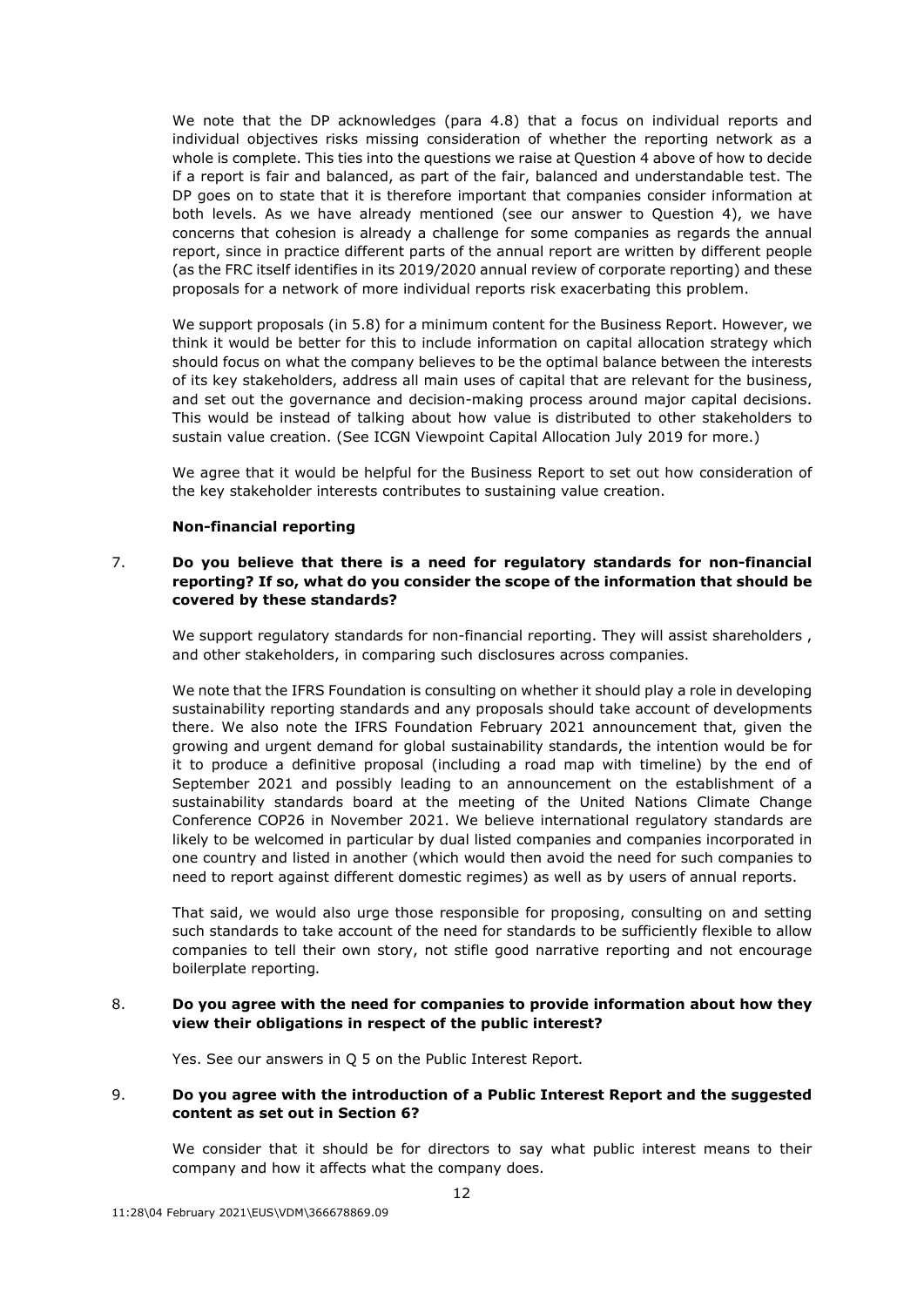We note that the DP acknowledges (para 4.8) that a focus on individual reports and individual objectives risks missing consideration of whether the reporting network as a whole is complete. This ties into the questions we raise at Question 4 above of how to decide if a report is fair and balanced, as part of the fair, balanced and understandable test. The DP goes on to state that it is therefore important that companies consider information at both levels. As we have already mentioned (see our answer to Question 4), we have concerns that cohesion is already a challenge for some companies as regards the annual report, since in practice different parts of the annual report are written by different people (as the FRC itself identifies in its 2019/2020 annual review of corporate reporting) and these proposals for a network of more individual reports risk exacerbating this problem.

We support proposals (in 5.8) for a minimum content for the Business Report. However, we think it would be better for this to include information on capital allocation strategy which should focus on what the company believes to be the optimal balance between the interests of its key stakeholders, address all main uses of capital that are relevant for the business, and set out the governance and decision-making process around major capital decisions. This would be instead of talking about how value is distributed to other stakeholders to sustain value creation. (See ICGN Viewpoint Capital Allocation July 2019 for more.)

We agree that it would be helpful for the Business Report to set out how consideration of the key stakeholder interests contributes to sustaining value creation.

### **Non-financial reporting**

# 7. **Do you believe that there is a need for regulatory standards for non-financial reporting? If so, what do you consider the scope of the information that should be covered by these standards?**

We support regulatory standards for non-financial reporting. They will assist shareholders, and other stakeholders, in comparing such disclosures across companies.

We note that the IFRS Foundation is consulting on whether it should play a role in developing sustainability reporting standards and any proposals should take account of developments there. We also note the IFRS Foundation February 2021 announcement that, given the growing and urgent demand for global sustainability standards, the intention would be for it to produce a definitive proposal (including a road map with timeline) by the end of September 2021 and possibly leading to an announcement on the establishment of a sustainability standards board at the meeting of the United Nations Climate Change Conference COP26 in November 2021. We believe international regulatory standards are likely to be welcomed in particular by dual listed companies and companies incorporated in one country and listed in another (which would then avoid the need for such companies to need to report against different domestic regimes) as well as by users of annual reports.

That said, we would also urge those responsible for proposing, consulting on and setting such standards to take account of the need for standards to be sufficiently flexible to allow companies to tell their own story, not stifle good narrative reporting and not encourage boilerplate reporting*.*

### 8. **Do you agree with the need for companies to provide information about how they view their obligations in respect of the public interest?**

Yes. See our answers in Q 5 on the Public Interest Report*.* 

# 9. **Do you agree with the introduction of a Public Interest Report and the suggested content as set out in Section 6?**

We consider that it should be for directors to say what public interest means to their company and how it affects what the company does.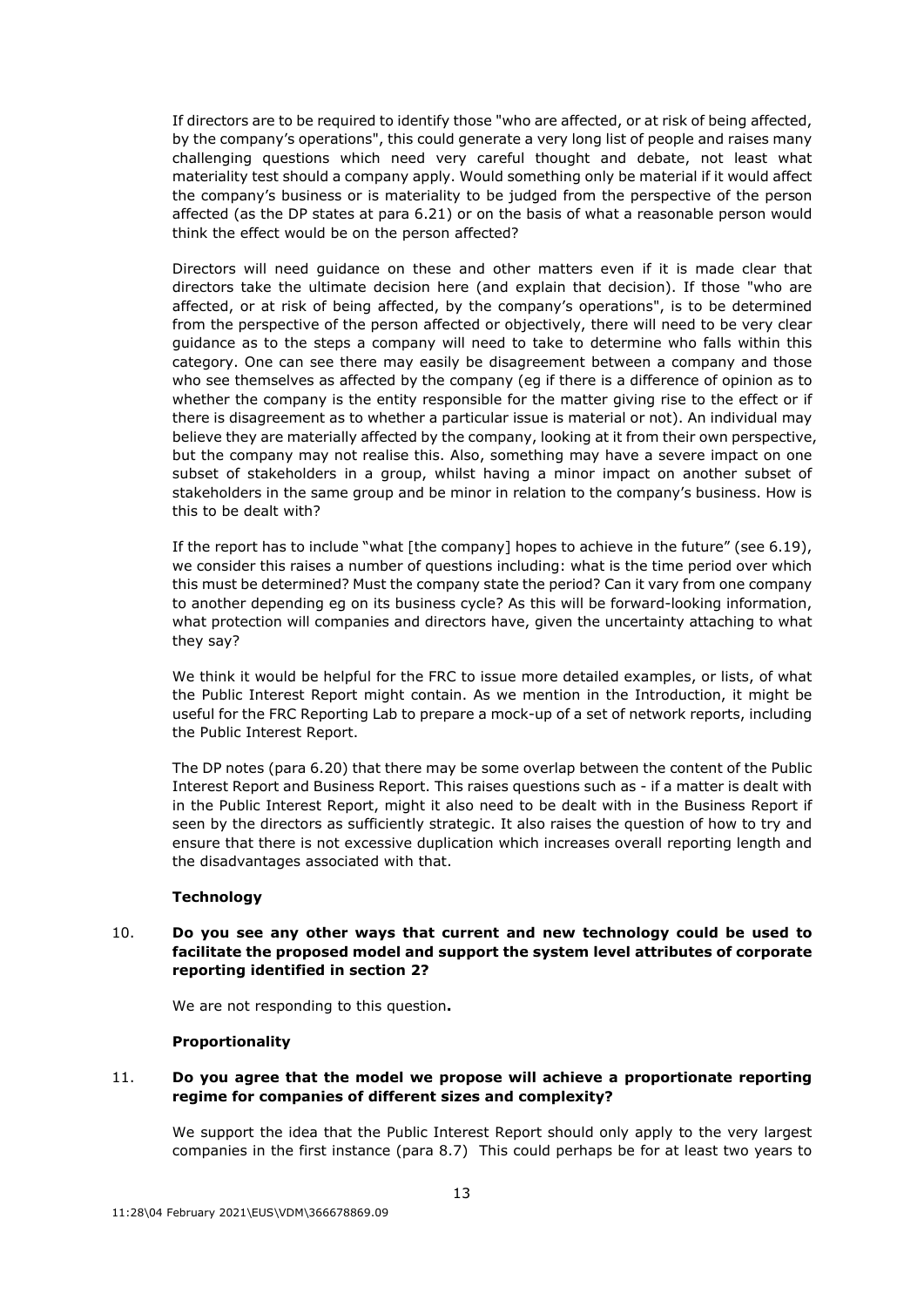If directors are to be required to identify those "who are affected, or at risk of being affected, by the company's operations", this could generate a very long list of people and raises many challenging questions which need very careful thought and debate, not least what materiality test should a company apply. Would something only be material if it would affect the company's business or is materiality to be judged from the perspective of the person affected (as the DP states at para 6.21) or on the basis of what a reasonable person would think the effect would be on the person affected?

Directors will need guidance on these and other matters even if it is made clear that directors take the ultimate decision here (and explain that decision). If those "who are affected, or at risk of being affected, by the company's operations", is to be determined from the perspective of the person affected or objectively, there will need to be very clear guidance as to the steps a company will need to take to determine who falls within this category. One can see there may easily be disagreement between a company and those who see themselves as affected by the company (eg if there is a difference of opinion as to whether the company is the entity responsible for the matter giving rise to the effect or if there is disagreement as to whether a particular issue is material or not). An individual may believe they are materially affected by the company, looking at it from their own perspective, but the company may not realise this. Also, something may have a severe impact on one subset of stakeholders in a group, whilst having a minor impact on another subset of stakeholders in the same group and be minor in relation to the company's business. How is this to be dealt with?

If the report has to include "what [the company] hopes to achieve in the future" (see 6.19), we consider this raises a number of questions including: what is the time period over which this must be determined? Must the company state the period? Can it vary from one company to another depending eg on its business cycle? As this will be forward-looking information, what protection will companies and directors have, given the uncertainty attaching to what they say?

We think it would be helpful for the FRC to issue more detailed examples, or lists, of what the Public Interest Report might contain. As we mention in the Introduction, it might be useful for the FRC Reporting Lab to prepare a mock-up of a set of network reports, including the Public Interest Report.

The DP notes (para 6.20) that there may be some overlap between the content of the Public Interest Report and Business Report. This raises questions such as - if a matter is dealt with in the Public Interest Report, might it also need to be dealt with in the Business Report if seen by the directors as sufficiently strategic. It also raises the question of how to try and ensure that there is not excessive duplication which increases overall reporting length and the disadvantages associated with that.

#### **Technology**

# 10. **Do you see any other ways that current and new technology could be used to facilitate the proposed model and support the system level attributes of corporate reporting identified in section 2?**

We are not responding to this question**.** 

### **Proportionality**

## 11. **Do you agree that the model we propose will achieve a proportionate reporting regime for companies of different sizes and complexity?**

We support the idea that the Public Interest Report should only apply to the very largest companies in the first instance (para 8.7) This could perhaps be for at least two years to